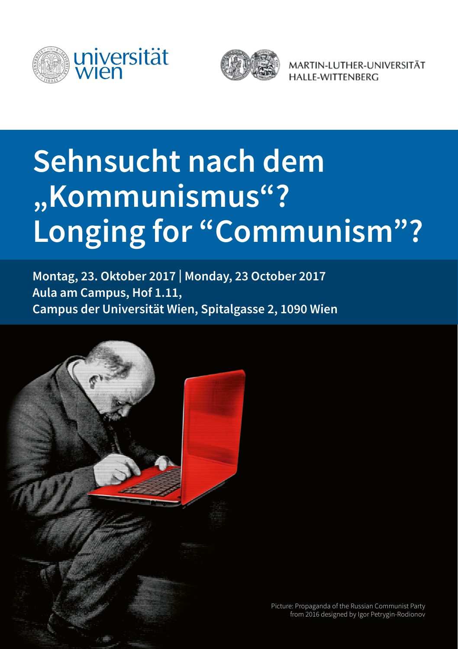



MARTIN-LUTHER-UNIVERSITÄT HALLE-WITTENBERG

# **Sehnsucht nach dem "Kommunismus"? Longing for "Communism"?**

**Montag, 23. Oktober 2017 | Monday, 23 October 2017 Aula am Campus, Hof 1.11, Campus der Universität Wien, Spitalgasse 2, 1090 Wien** 

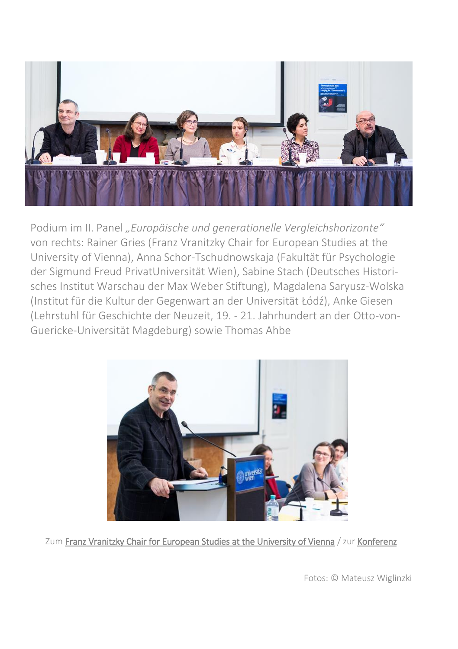

Podium im II. Panel *"Europäische und generationelle Vergleichshorizonte"* von rechts: Rainer Gries (Franz Vranitzky Chair for European Studies at the University of Vienna), Anna Schor-Tschudnowskaja (Fakultät für Psychologie der Sigmund Freud PrivatUniversität Wien), Sabine Stach (Deutsches Historisches Institut Warschau der Max Weber Stiftung), Magdalena Saryusz-Wolska (Institut für die Kultur der Gegenwart an der Universität Łódź), Anke Giesen (Lehrstuhl für Geschichte der Neuzeit, 19. - 21. Jahrhundert an der Otto-von-Guericke-Universität Magdeburg) sowie Thomas Ahbe



Zum [Franz Vranitzky Chair for European Studies at the University of Vienna](https://franzvranitzkychair.univie.ac.at/home/) / zu[r Konferenz](https://franzvranitzkychair.univie.ac.at/forschung/conference-longing-for-communism/)

Fotos: © Mateusz Wiglinzki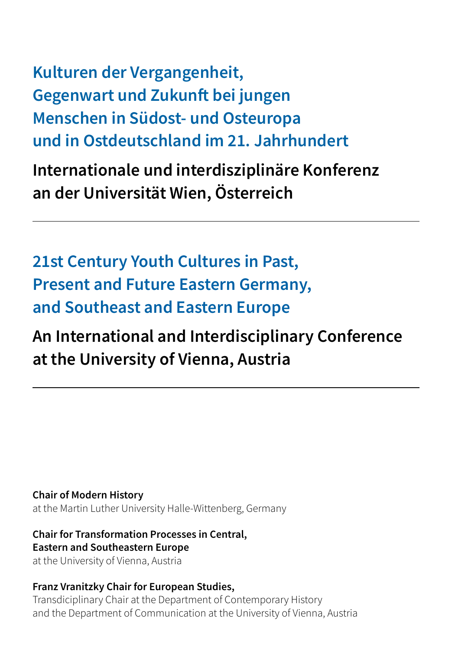**Kulturen der Vergangenheit, Gegenwart und Zukunft bei jungen Menschen in Südost- und Osteuropa und in Ostdeutschland im 21. Jahrhundert**

**Internationale und interdisziplinäre Konferenz an der Universität Wien, Österreich**

**21st Century Youth Cultures in Past, Present and Future Eastern Germany, and Southeast and Eastern Europe** 

# **An International and Interdisciplinary Conference at the University of Vienna, Austria**

**Chair of Modern History**  at the Martin Luther University Halle-Wittenberg, Germany

#### **Chair for Transformation Processes in Central, Eastern and Southeastern Europe**

at the University of Vienna, Austria

#### **Franz Vranitzky Chair for European Studies,**

Transdiciplinary Chair at the Department of Contemporary History and the Department of Communication at the University of Vienna, Austria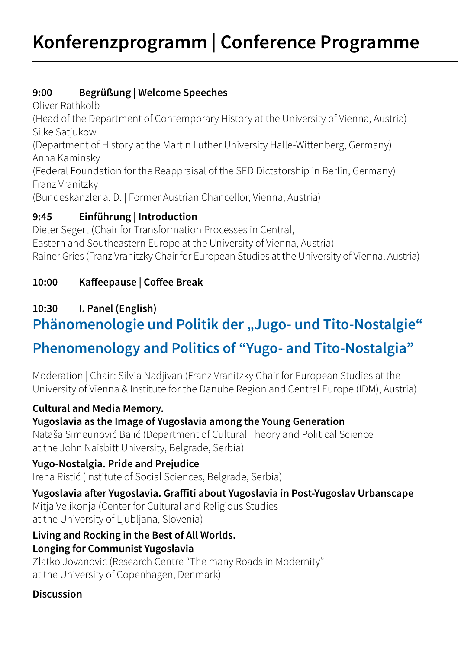#### **9:00 Begrüßung | Welcome Speeches**

Oliver Rathkolb (Head of the Department of Contemporary History at the University of Vienna, Austria) Silke Satjukow (Department of History at the Martin Luther University Halle-Wittenberg, Germany) Anna Kaminsky (Federal Foundation for the Reappraisal of the SED Dictatorship in Berlin, Germany) Franz Vranitzky (Bundeskanzler a. D. | Former Austrian Chancellor, Vienna, Austria)

#### **9:45 Einführung | Introduction**

Dieter Segert (Chair for Transformation Processes in Central, Eastern and Southeastern Europe at the University of Vienna, Austria) Rainer Gries (Franz Vranitzky Chair for European Studies at the University of Vienna, Austria)

#### **10:00 Kaffeepause | Coffee Break**

### **10:30 I. Panel (English)**

# **Phänomenologie und Politik der "Jugo- und Tito-Nostalgie" Phenomenology and Politics of "Yugo- and Tito-Nostalgia"**

Moderation | Chair: Silvia Nadjivan (Franz Vranitzky Chair for European Studies at the University of Vienna & Institute for the Danube Region and Central Europe (IDM), Austria)

#### **Cultural and Media Memory.**

#### **Yugoslavia as the Image of Yugoslavia among the Young Generation**

Nataša Simeunović Bajić (Department of Cultural Theory and Political Science at the John Naisbitt University, Belgrade, Serbia)

#### **Yugo-Nostalgia. Pride and Prejudice**

Irena Ristić (Institute of Social Sciences, Belgrade, Serbia)

# **Yugoslavia after Yugoslavia. Graffiti about Yugoslavia in Post-Yugoslav Urbanscape**

Mitja Velikonja (Center for Cultural and Religious Studies at the University of Ljubljana, Slovenia)

#### **Living and Rocking in the Best of All Worlds. Longing for Communist Yugoslavia**

Zlatko Jovanovic (Research Centre "The many Roads in Modernity" at the University of Copenhagen, Denmark)

#### **Discussion**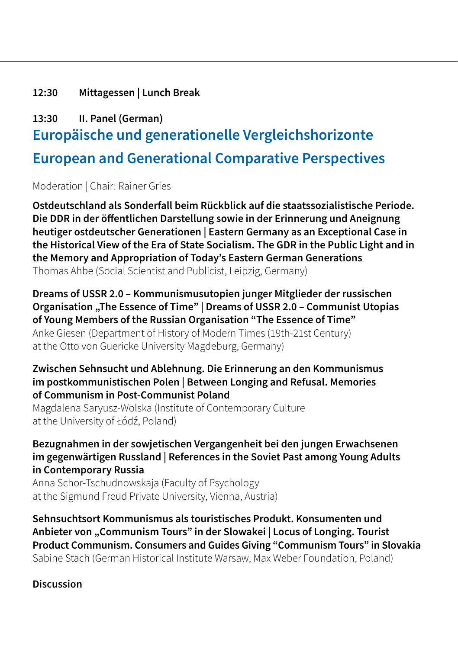#### **12:30 Mittagessen | Lunch Break**

## **13:30 II. Panel (German) Europäische und generationelle Vergleichshorizonte European and Generational Comparative Perspectives**

Moderation | Chair: Rainer Gries

**Ostdeutschland als Sonderfall beim Rückblick auf die staatssozialistische Periode. Die DDR in der öffentlichen Darstellung sowie in der Erinnerung und Aneignung heutiger ostdeutscher Generationen | Eastern Germany as an Exceptional Case in the Historical View of the Era of State Socialism. The GDR in the Public Light and in the Memory and Appropriation of Today's Eastern German Generations** Thomas Ahbe (Social Scientist and Publicist, Leipzig, Germany)

#### **Dreams of USSR 2.0 – Kommunismusutopien junger Mitglieder der russischen Organisation , The Essence of Time" | Dreams of USSR 2.0 - Communist Utopias of Young Members of the Russian Organisation "The Essence of Time"**

Anke Giesen (Department of History of Modern Times (19th-21st Century) at the Otto von Guericke University Magdeburg, Germany)

#### **Zwischen Sehnsucht und Ablehnung. Die Erinnerung an den Kommunismus im postkommunistischen Polen | Between Longing and Refusal. Memories of Communism in Post-Communist Poland**

Magdalena Saryusz-Wolska (Institute of Contemporary Culture at the University of Łódź, Poland)

#### **Bezugnahmen in der sowjetischen Vergangenheit bei den jungen Erwachsenen im gegenwärtigen Russland | References in the Soviet Past among Young Adults in Contemporary Russia**

Anna Schor-Tschudnowskaja (Faculty of Psychology at the Sigmund Freud Private University, Vienna, Austria)

**Sehnsuchtsort Kommunismus als touristisches Produkt. Konsumenten und Anbieter von "Communism Tours" in der Slowakei | Locus of Longing. Tourist Product Communism. Consumers and Guides Giving "Communism Tours" in Slovakia** Sabine Stach (German Historical Institute Warsaw, Max Weber Foundation, Poland)

**Discussion**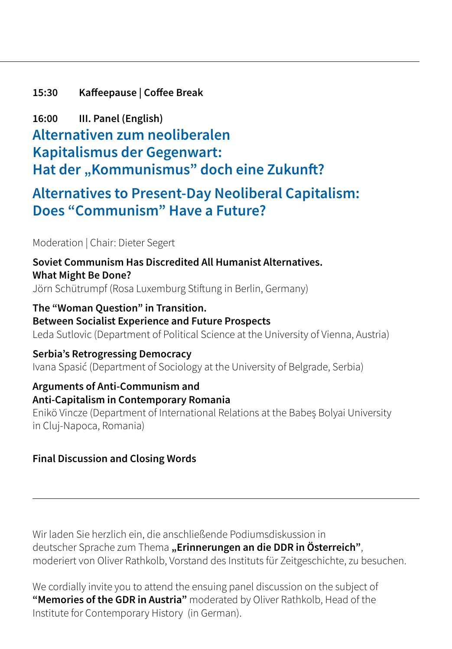#### **15:30 Kaffeepause | Coffee Break**

**16:00 III. Panel (English) Alternativen zum neoliberalen Kapitalismus der Gegenwart: Hat der "Kommunismus" doch eine Zukunft?**

## **Alternatives to Present-Day Neoliberal Capitalism: Does "Communism" Have a Future?**

Moderation | Chair: Dieter Segert

**Soviet Communism Has Discredited All Humanist Alternatives. What Might Be Done?** Jörn Schütrumpf (Rosa Luxemburg Stiftung in Berlin, Germany)

**The "Woman Question" in Transition. Between Socialist Experience and Future Prospects** Leda Sutlovic (Department of Political Science at the University of Vienna, Austria)

**Serbia's Retrogressing Democracy** Ivana Spasić (Department of Sociology at the University of Belgrade, Serbia)

#### **Arguments of Anti-Communism and Anti-Capitalism in Contemporary Romania**

Enikö Vincze (Department of International Relations at the Babeș Bolyai University in Cluj-Napoca, Romania)

#### **Final Discussion and Closing Words**

Wir laden Sie herzlich ein, die anschließende Podiumsdiskussion in deutscher Sprache zum Thema **"Erinnerungen an die DDR in Österreich"**, moderiert von Oliver Rathkolb, Vorstand des Instituts für Zeitgeschichte, zu besuchen.

We cordially invite you to attend the ensuing panel discussion on the subject of **"Memories of the GDR in Austria"** moderated by Oliver Rathkolb, Head of the Institute for Contemporary History (in German).